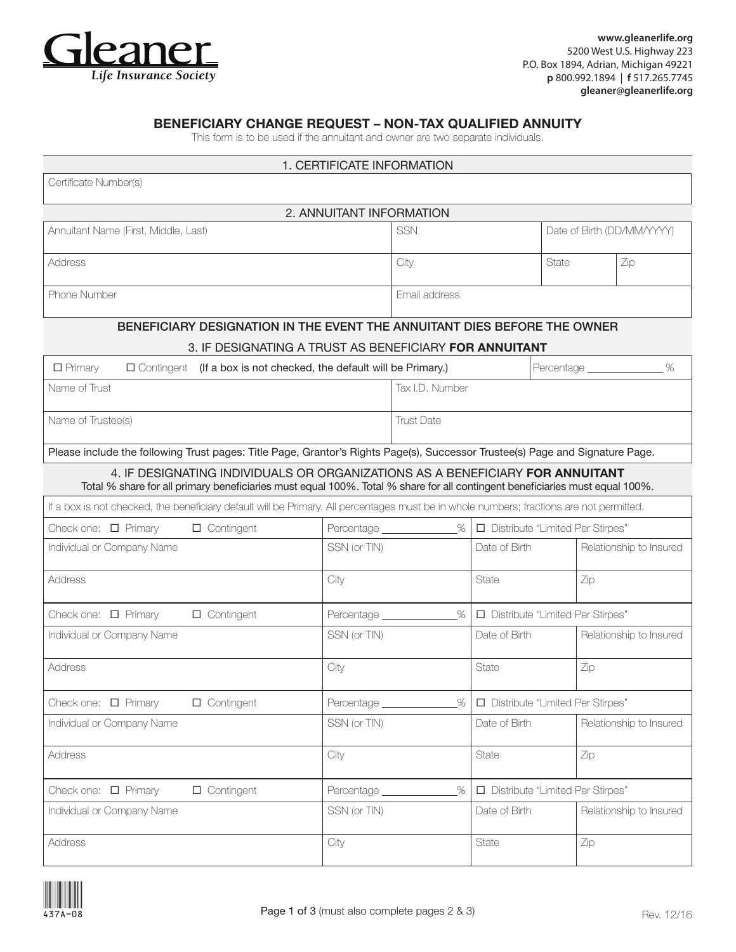

**www.gleanerlife.org**  5200 West U.S. Highway 223 P.O. Box 1894, Adrian, Michigan 49221 **p** 800.992.1894 | **f** 517.265.7745  **gleaner@gleanerlife.org**

### BENEFICIARY CHANGE REQUEST – NON-TAX QUALIFIED ANNUITY

This form is to be used if the annuitant and owner are two separate individuals.

| 1. CERTIFICATE INFORMATION                                                                                                                                                                                    |                           |                                          |                                          |       |                            |  |
|---------------------------------------------------------------------------------------------------------------------------------------------------------------------------------------------------------------|---------------------------|------------------------------------------|------------------------------------------|-------|----------------------------|--|
| Certificate Number(s)                                                                                                                                                                                         |                           |                                          |                                          |       |                            |  |
| 2. ANNUITANT INFORMATION                                                                                                                                                                                      |                           |                                          |                                          |       |                            |  |
| Annuitant Name (First, Middle, Last)                                                                                                                                                                          | <b>SSN</b>                |                                          |                                          |       | Date of Birth (DD/MM/YYYY) |  |
| <b>Address</b>                                                                                                                                                                                                |                           | City                                     |                                          | State | Zip                        |  |
| Phone Number                                                                                                                                                                                                  |                           | Email address                            |                                          |       |                            |  |
| BENEFICIARY DESIGNATION IN THE EVENT THE ANNUITANT DIES BEFORE THE OWNER                                                                                                                                      |                           |                                          |                                          |       |                            |  |
| 3. IF DESIGNATING A TRUST AS BENEFICIARY FOR ANNUITANT                                                                                                                                                        |                           |                                          |                                          |       |                            |  |
| $\Box$ Primary<br>$\Box$ Contingent (If a box is not checked, the default will be Primary.)                                                                                                                   |                           | %                                        |                                          |       |                            |  |
| Name of Trust                                                                                                                                                                                                 |                           | Tax I.D. Number                          |                                          |       |                            |  |
| Name of Trustee(s)                                                                                                                                                                                            |                           | <b>Trust Date</b>                        |                                          |       |                            |  |
| Please include the following Trust pages: Title Page, Grantor's Rights Page(s), Successor Trustee(s) Page and Signature Page.                                                                                 |                           |                                          |                                          |       |                            |  |
| 4. IF DESIGNATING INDIVIDUALS OR ORGANIZATIONS AS A BENEFICIARY FOR ANNUITANT<br>Total % share for all primary beneficiaries must equal 100%. Total % share for all contingent beneficiaries must equal 100%. |                           |                                          |                                          |       |                            |  |
| If a box is not checked, the beneficiary default will be Primary. All percentages must be in whole numbers; fractions are not permitted.                                                                      |                           |                                          |                                          |       |                            |  |
| Check one: $\Box$ Primary<br>$\Box$ Contingent                                                                                                                                                                | Percentage ______________ |                                          | %<br>Distribute "Limited Per Stirpes"    |       |                            |  |
| Individual or Company Name                                                                                                                                                                                    | SSN (or TIN)              |                                          | Date of Birth<br>Relationship to Insured |       |                            |  |
| <b>Address</b>                                                                                                                                                                                                | City                      |                                          | State                                    | Zip   |                            |  |
| $\Box$ Contingent<br>Check one: $\Box$ Primary                                                                                                                                                                | Percentage _____          | %                                        | Distribute "Limited Per Stirpes"         |       |                            |  |
| Individual or Company Name                                                                                                                                                                                    | SSN (or TIN)              |                                          | Date of Birth                            |       | Relationship to Insured    |  |
| Address                                                                                                                                                                                                       | City                      |                                          | State                                    | Zip   |                            |  |
| Check one: □ Primary<br>$\Box$ Contingent                                                                                                                                                                     | Percentage ____________   | %                                        | □ Distribute "Limited Per Stirpes"       |       |                            |  |
| Individual or Company Name                                                                                                                                                                                    | SSN (or TIN)              |                                          | Date of Birth                            |       | Relationship to Insured    |  |
| Address                                                                                                                                                                                                       | City                      |                                          | State                                    | Zip   |                            |  |
| Check one: □ Primary<br>$\Box$ Contingent                                                                                                                                                                     | Percentage __             | $\%$<br>Distribute "Limited Per Stirpes" |                                          |       |                            |  |
| Individual or Company Name                                                                                                                                                                                    | SSN (or TIN)              |                                          | Date of Birth                            |       | Relationship to Insured    |  |
| Address                                                                                                                                                                                                       | City                      |                                          | State                                    | Zip   |                            |  |

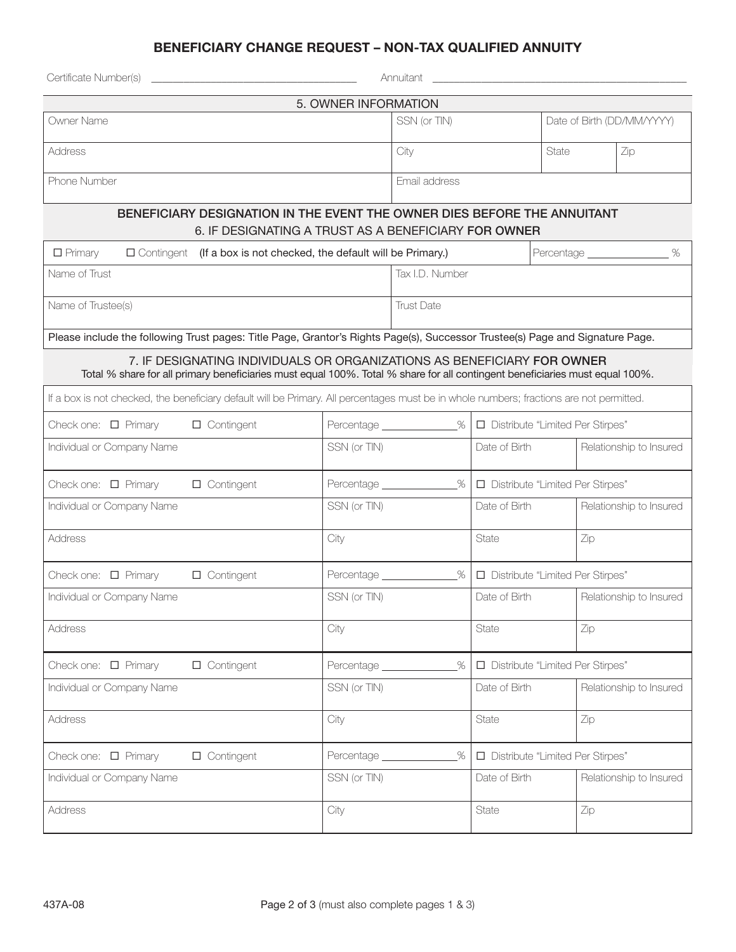# BENEFICIARY CHANGE REQUEST – NON-TAX QUALIFIED ANNUITY

| Certificate Number(s)                                                                                                                                                                                                                                                    |                            | Annuitant                               |                                    |                                    |                         |  |  |
|--------------------------------------------------------------------------------------------------------------------------------------------------------------------------------------------------------------------------------------------------------------------------|----------------------------|-----------------------------------------|------------------------------------|------------------------------------|-------------------------|--|--|
| 5. OWNER INFORMATION                                                                                                                                                                                                                                                     |                            |                                         |                                    |                                    |                         |  |  |
| Owner Name                                                                                                                                                                                                                                                               |                            | SSN (or TIN)                            |                                    | Date of Birth (DD/MM/YYYY)         |                         |  |  |
| Address                                                                                                                                                                                                                                                                  |                            | City                                    |                                    | State                              | Zip                     |  |  |
| Phone Number                                                                                                                                                                                                                                                             |                            | Email address                           |                                    |                                    |                         |  |  |
| BENEFICIARY DESIGNATION IN THE EVENT THE OWNER DIES BEFORE THE ANNUITANT<br>6. IF DESIGNATING A TRUST AS A BENEFICIARY FOR OWNER                                                                                                                                         |                            |                                         |                                    |                                    |                         |  |  |
| Percentage ________________ %<br>$\Box$ Primary<br>$\Box$ Contingent (If a box is not checked, the default will be Primary.)                                                                                                                                             |                            |                                         |                                    |                                    |                         |  |  |
| Name of Trust                                                                                                                                                                                                                                                            | Tax I.D. Number            |                                         |                                    |                                    |                         |  |  |
| Name of Trustee(s)                                                                                                                                                                                                                                                       | <b>Trust Date</b>          |                                         |                                    |                                    |                         |  |  |
| Please include the following Trust pages: Title Page, Grantor's Rights Page(s), Successor Trustee(s) Page and Signature Page.                                                                                                                                            |                            |                                         |                                    |                                    |                         |  |  |
| 7. IF DESIGNATING INDIVIDUALS OR ORGANIZATIONS AS BENEFICIARY FOR OWNER                                                                                                                                                                                                  |                            |                                         |                                    |                                    |                         |  |  |
| Total % share for all primary beneficiaries must equal 100%. Total % share for all contingent beneficiaries must equal 100%.<br>If a box is not checked, the beneficiary default will be Primary. All percentages must be in whole numbers; fractions are not permitted. |                            |                                         |                                    |                                    |                         |  |  |
| Check one: $\Box$ Primary<br>$\Box$ Contingent                                                                                                                                                                                                                           | Percentage ______________% |                                         | Distribute "Limited Per Stirpes"   |                                    |                         |  |  |
| Individual or Company Name                                                                                                                                                                                                                                               | SSN (or TIN)               | Date of Birth                           |                                    | Relationship to Insured            |                         |  |  |
|                                                                                                                                                                                                                                                                          |                            |                                         |                                    |                                    |                         |  |  |
| Check one: $\Box$ Primary<br>$\Box$ Contingent                                                                                                                                                                                                                           |                            | Percentage _______________%             |                                    | Distribute "Limited Per Stirpes"   |                         |  |  |
| Individual or Company Name                                                                                                                                                                                                                                               | SSN (or TIN)               |                                         | Date of Birth                      |                                    | Relationship to Insured |  |  |
| <b>Address</b>                                                                                                                                                                                                                                                           | City                       |                                         | State                              | Zip                                |                         |  |  |
| Check one: $\Box$ Primary<br>$\Box$ Contingent                                                                                                                                                                                                                           |                            | %                                       |                                    | □ Distribute "Limited Per Stirpes" |                         |  |  |
| Individual or Company Name                                                                                                                                                                                                                                               | SSN (or TIN)               |                                         | Date of Birth                      |                                    | Relationship to Insured |  |  |
| <b>Address</b>                                                                                                                                                                                                                                                           | City                       |                                         | State                              | Zip                                |                         |  |  |
| Check one: □ Primary<br>$\Box$ Contingent                                                                                                                                                                                                                                | $\%$<br>Percentage _____   |                                         | □ Distribute "Limited Per Stirpes" |                                    |                         |  |  |
| Individual or Company Name                                                                                                                                                                                                                                               | SSN (or TIN)               |                                         | Date of Birth                      |                                    | Relationship to Insured |  |  |
| Address                                                                                                                                                                                                                                                                  | City                       |                                         | State                              | Zip                                |                         |  |  |
| $\Box$ Contingent<br>Check one: □ Primary                                                                                                                                                                                                                                | Percentage __              | %<br>□ Distribute "Limited Per Stirpes" |                                    |                                    |                         |  |  |
| Individual or Company Name                                                                                                                                                                                                                                               | SSN (or TIN)               |                                         | Date of Birth                      |                                    | Relationship to Insured |  |  |
| Address                                                                                                                                                                                                                                                                  | City                       |                                         | State                              | Zip                                |                         |  |  |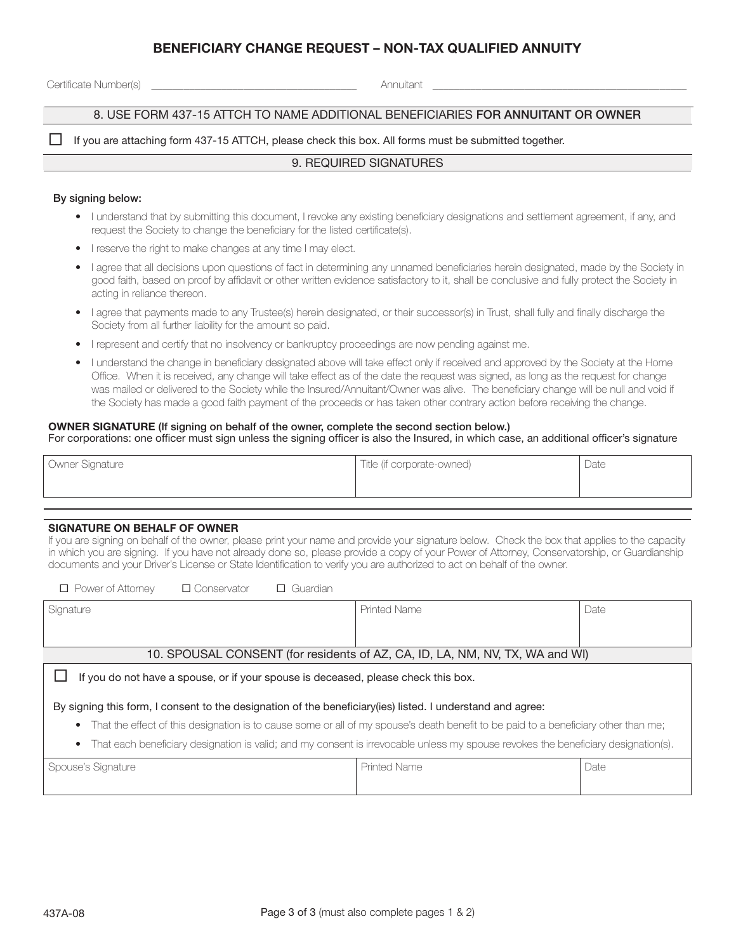## BENEFICIARY CHANGE REQUEST – NON-TAX QUALIFIED ANNUITY

Certificate Number(s) \_\_\_\_\_\_\_\_\_\_\_\_\_\_\_\_\_\_\_\_\_\_\_\_\_\_\_\_\_\_\_\_\_\_\_\_\_\_ Annuitant \_\_\_\_\_\_\_\_\_\_\_\_\_\_\_\_\_\_\_\_\_\_\_\_\_\_\_\_\_\_\_\_\_\_\_\_\_\_\_\_\_\_\_\_\_\_\_

#### 8. USE FORM 437-15 ATTCH TO NAME ADDITIONAL BENEFICIARIES FOR ANNUITANT OR OWNER

If you are attaching form 437-15 ATTCH, please check this box. All forms must be submitted together.

#### 9. REQUIRED SIGNATURES

#### By signing below:

- I understand that by submitting this document, I revoke any existing beneficiary designations and settlement agreement, if any, and request the Society to change the beneficiary for the listed certificate(s).
- I reserve the right to make changes at any time I may elect.
- I agree that all decisions upon questions of fact in determining any unnamed beneficiaries herein designated, made by the Society in good faith, based on proof by affidavit or other written evidence satisfactory to it, shall be conclusive and fully protect the Society in acting in reliance thereon.
- I agree that payments made to any Trustee(s) herein designated, or their successor(s) in Trust, shall fully and finally discharge the Society from all further liability for the amount so paid.
- I represent and certify that no insolvency or bankruptcy proceedings are now pending against me.
- I understand the change in beneficiary designated above will take effect only if received and approved by the Society at the Home Office. When it is received, any change will take effect as of the date the request was signed, as long as the request for change was mailed or delivered to the Society while the Insured/Annuitant/Owner was alive. The beneficiary change will be null and void if the Society has made a good faith payment of the proceeds or has taken other contrary action before receiving the change.

# OWNER SIGNATURE (If signing on behalf of the owner, complete the second section below.)

For corporations: one officer must sign unless the signing officer is also the Insured, in which case, an additional officer's signature

| Title (if corporate-owned) | Date |
|----------------------------|------|
|                            |      |

#### SIGNATURE ON BEHALF OF OWNER

If you are signing on behalf of the owner, please print your name and provide your signature below. Check the box that applies to the capacity in which you are signing. If you have not already done so, please provide a copy of your Power of Attorney, Conservatorship, or Guardianship documents and your Driver's License or State Identification to verify you are authorized to act on behalf of the owner.

| $\Box$ Power of Attorney<br>□ Conservator<br>$\Box$ Guardian                       |                     |      |  |  |
|------------------------------------------------------------------------------------|---------------------|------|--|--|
| Signature                                                                          | <b>Printed Name</b> | Date |  |  |
|                                                                                    |                     |      |  |  |
|                                                                                    |                     |      |  |  |
| 10. SPOUSAL CONSENT (for residents of AZ, CA, ID, LA, NM, NV, TX, WA and WI)       |                     |      |  |  |
| If you do not have a spouse, or if your spouse is deceased, please check this box. |                     |      |  |  |

By signing this form, I consent to the designation of the beneficiary(ies) listed. I understand and agree:

- That the effect of this designation is to cause some or all of my spouse's death benefit to be paid to a beneficiary other than me;
- That each beneficiary designation is valid; and my consent is irrevocable unless my spouse revokes the beneficiary designation(s).

| Spouse's Signature | ' Printed Name | Date |
|--------------------|----------------|------|
|                    |                |      |